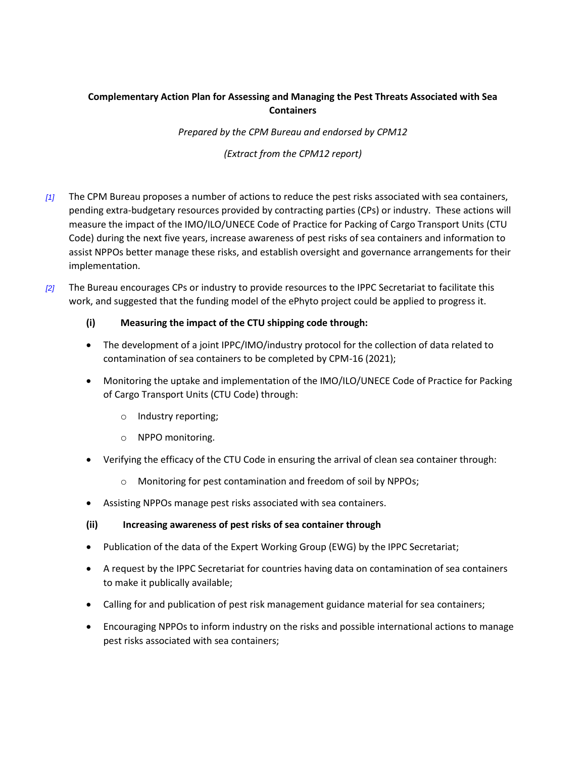## **Complementary Action Plan for Assessing and Managing the Pest Threats Associated with Sea Containers**

*Prepared by the CPM Bureau and endorsed by CPM12*

*(Extract from the CPM12 report)*

- *[1]* The CPM Bureau proposes a number of actions to reduce the pest risks associated with sea containers, pending extra-budgetary resources provided by contracting parties (CPs) or industry. These actions will measure the impact of the IMO/ILO/UNECE Code of Practice for Packing of Cargo Transport Units (CTU Code) during the next five years, increase awareness of pest risks of sea containers and information to assist NPPOs better manage these risks, and establish oversight and governance arrangements for their implementation.
- *[2]* The Bureau encourages CPs or industry to provide resources to the IPPC Secretariat to facilitate this work, and suggested that the funding model of the ePhyto project could be applied to progress it.

## **(i) Measuring the impact of the CTU shipping code through:**

- The development of a joint IPPC/IMO/industry protocol for the collection of data related to contamination of sea containers to be completed by CPM-16 (2021);
- Monitoring the uptake and implementation of the IMO/ILO/UNECE Code of Practice for Packing of Cargo Transport Units (CTU Code) through:
	- o Industry reporting;
	- o NPPO monitoring.
- Verifying the efficacy of the CTU Code in ensuring the arrival of clean sea container through:
	- o Monitoring for pest contamination and freedom of soil by NPPOs;
- Assisting NPPOs manage pest risks associated with sea containers.

## **(ii) Increasing awareness of pest risks of sea container through**

- Publication of the data of the Expert Working Group (EWG) by the IPPC Secretariat;
- A request by the IPPC Secretariat for countries having data on contamination of sea containers to make it publically available;
- Calling for and publication of pest risk management guidance material for sea containers;
- Encouraging NPPOs to inform industry on the risks and possible international actions to manage pest risks associated with sea containers;